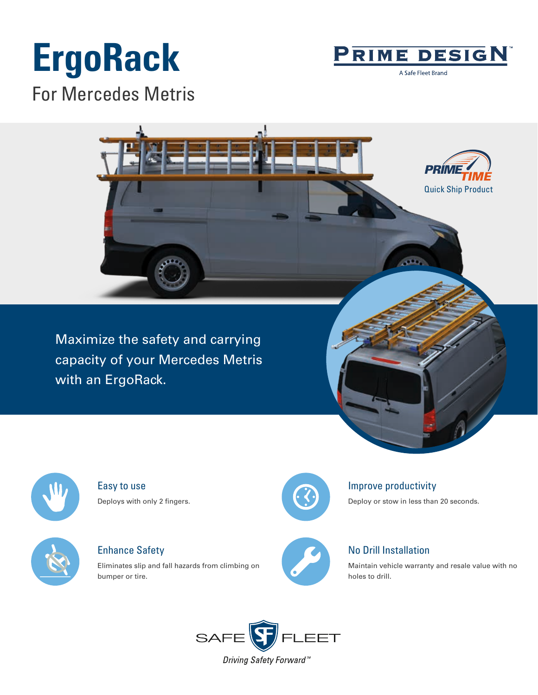# **ErgoRack**



A Safe Fleet Brand

For Mercedes Metris



Maximize the safety and carrying capacity of your Mercedes Metris with an ErgoRack.



Easy to use Deploys with only 2 fingers.



Enhance Safety

Eliminates slip and fall hazards from climbing on bumper or tire.



### Improve productivity

Deploy or stow in less than 20 seconds.



## No Drill Installation

Maintain vehicle warranty and resale value with no holes to drill.